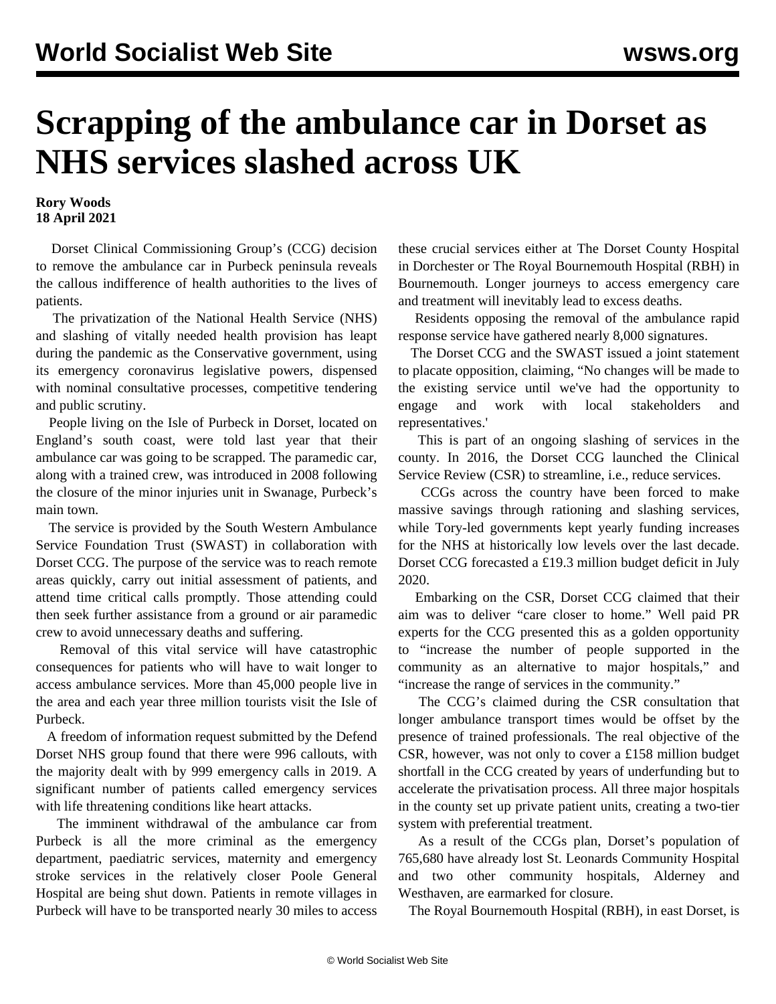## **Scrapping of the ambulance car in Dorset as NHS services slashed across UK**

## **Rory Woods 18 April 2021**

 Dorset Clinical Commissioning Group's (CCG) decision to remove the ambulance car in Purbeck peninsula reveals the callous indifference of health authorities to the lives of patients.

 The privatization of the National Health Service (NHS) and slashing of vitally needed health provision has leapt during the pandemic as the Conservative government, using its emergency coronavirus legislative powers, dispensed with nominal consultative processes, competitive tendering and public scrutiny.

 People living on the Isle of Purbeck in Dorset, located on England's south coast, were told last year that their ambulance car was going to be scrapped. The paramedic car, along with a trained crew, was introduced in 2008 following the closure of the minor injuries unit in Swanage, Purbeck's main town.

 The service is provided by the South Western Ambulance Service Foundation Trust (SWAST) in collaboration with Dorset CCG. The purpose of the service was to reach remote areas quickly, carry out initial assessment of patients, and attend time critical calls promptly. Those attending could then seek further assistance from a ground or air paramedic crew to avoid unnecessary deaths and suffering.

 Removal of this vital service will have catastrophic consequences for patients who will have to wait longer to access ambulance services. More than 45,000 people live in the area and each year three million tourists visit the Isle of Purbeck.

 A freedom of information request submitted by the Defend Dorset NHS group found that there were 996 callouts, with the majority dealt with by 999 emergency calls in 2019. A significant number of patients called emergency services with life threatening conditions like heart attacks.

 The imminent withdrawal of the ambulance car from Purbeck is all the more criminal as the emergency department, paediatric services, maternity and emergency stroke services in the relatively closer Poole General Hospital are being shut down. Patients in remote villages in Purbeck will have to be transported nearly 30 miles to access these crucial services either at The Dorset County Hospital in Dorchester or The Royal Bournemouth Hospital (RBH) in Bournemouth. Longer journeys to access emergency care and treatment will inevitably lead to excess deaths.

 Residents opposing the removal of the ambulance rapid response service have gathered nearly 8,000 signatures.

 The Dorset CCG and the SWAST issued a joint statement to placate opposition, claiming, "No changes will be made to the existing service until we've had the opportunity to engage and work with local stakeholders and representatives.'

 This is part of an ongoing slashing of services in the county. In 2016, the Dorset CCG launched the Clinical Service Review (CSR) to streamline, i.e., reduce services.

 CCGs across the country have been forced to make massive savings through rationing and slashing services, while Tory-led governments kept yearly funding increases for the NHS at historically low levels over the last decade. Dorset CCG forecasted a £19.3 million budget deficit in July 2020.

 Embarking on the CSR, Dorset CCG claimed that their aim was to deliver "care closer to home." Well paid PR experts for the CCG presented this as a golden opportunity to "increase the number of people supported in the community as an alternative to major hospitals," and "increase the range of services in the community."

 The CCG's claimed during the CSR consultation that longer ambulance transport times would be offset by the presence of trained professionals. The real objective of the CSR, however, was not only to cover a £158 million budget shortfall in the CCG created by years of underfunding but to accelerate the privatisation process. All three major hospitals in the county set up private patient units, creating a two-tier system with preferential treatment.

 As a result of the CCGs plan, Dorset's population of 765,680 have already lost St. Leonards Community Hospital and two other community hospitals, Alderney and Westhaven, are earmarked for closure.

The Royal Bournemouth Hospital (RBH), in east Dorset, is